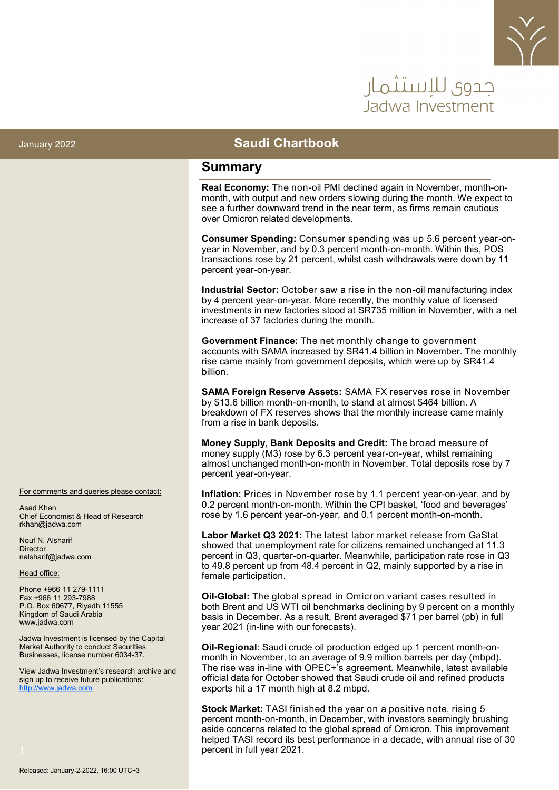

# جدوى للاستثمار Jadwa Investment

#### January 2022 **Saudi Chartbook**

#### **Summary**

**Real Economy:** The non-oil PMI declined again in November, month-onmonth, with output and new orders slowing during the month. We expect to see a further downward trend in the near term, as firms remain cautious over Omicron related developments.

**Consumer Spending:** Consumer spending was up 5.6 percent year-onyear in November, and by 0.3 percent month-on-month. Within this, POS transactions rose by 21 percent, whilst cash withdrawals were down by 11 percent year-on-year.

**Industrial Sector:** October saw a rise in the non-oil manufacturing index by 4 percent year-on-year. More recently, the monthly value of licensed investments in new factories stood at SR735 million in November, with a net increase of 37 factories during the month.

**Government Finance:** The net monthly change to government accounts with SAMA increased by SR41.4 billion in November. The monthly rise came mainly from government deposits, which were up by SR41.4 billion.

**SAMA Foreign Reserve Assets:** SAMA FX reserves rose in November by \$13.6 billion month-on-month, to stand at almost \$464 billion. A breakdown of FX reserves shows that the monthly increase came mainly from a rise in bank deposits.

**Money Supply, Bank Deposits and Credit:** The broad measure of money supply (M3) rose by 6.3 percent year-on-year, whilst remaining almost unchanged month-on-month in November. Total deposits rose by 7 percent year-on-year.

**Inflation:** Prices in November rose by 1.1 percent year-on-year, and by 0.2 percent month-on-month. Within the CPI basket, 'food and beverages' rose by 1.6 percent year-on-year, and 0.1 percent month-on-month.

**Labor Market Q3 2021:** The latest labor market release from GaStat showed that unemployment rate for citizens remained unchanged at 11.3 percent in Q3, quarter-on-quarter. Meanwhile, participation rate rose in Q3 to 49.8 percent up from 48.4 percent in Q2, mainly supported by a rise in female participation.

**Oil-Global:** The global spread in Omicron variant cases resulted in both Brent and US WTI oil benchmarks declining by 9 percent on a monthly basis in December. As a result, Brent averaged \$71 per barrel (pb) in full year 2021 (in-line with our forecasts).

**Oil-Regional**: Saudi crude oil production edged up 1 percent month-onmonth in November, to an average of 9.9 million barrels per day (mbpd). The rise was in-line with OPEC+'s agreement. Meanwhile, latest available official data for October showed that Saudi crude oil and refined products exports hit a 17 month high at 8.2 mbpd.

**Stock Market:** TASI finished the year on a positive note, rising 5 percent month-on-month, in December, with investors seemingly brushing aside concerns related to the global spread of Omicron. This improvement helped TASI record its best performance in a decade, with annual rise of 30 percent in full year 2021.

For comments and queries please contact:

Asad Khan Chief Economist & Head of Research rkhan@jadwa.com

Nouf N. Alsharif **Director** nalsharif@jadwa.com

Head office:

Phone +966 11 279-1111 Fax +966 11 293-7988 P.O. Box 60677, Riyadh 11555 Kingdom of Saudi Arabia www.jadwa.com

Jadwa Investment is licensed by the Capital Market Authority to conduct Securities Businesses, license number 6034-37.

View Jadwa Investment's research archive and sign up to receive future publications: <http://www.jadwa.com>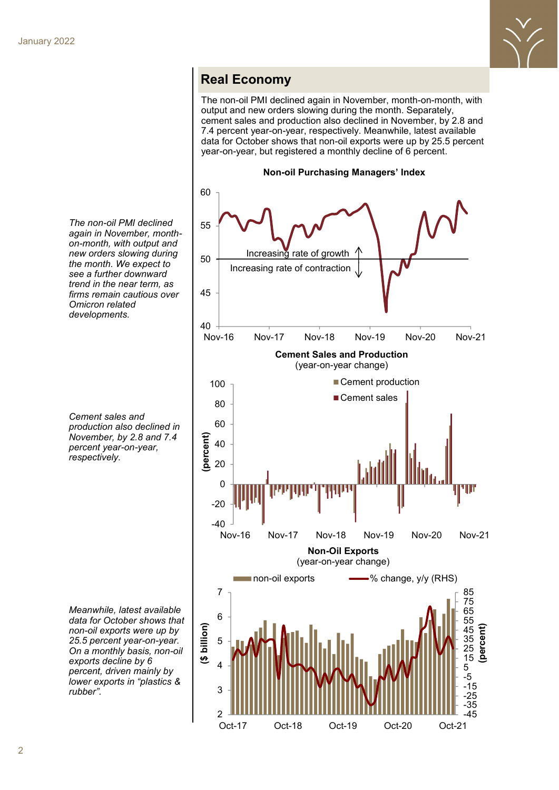

#### **Real Economy**

The non-oil PMI declined again in November, month-on-month, with output and new orders slowing during the month. Separately, cement sales and production also declined in November, by 2.8 and 7.4 percent year-on-year, respectively. Meanwhile, latest available data for October shows that non-oil exports were up by 25.5 percent year-on-year, but registered a monthly decline of 6 percent.

**Non-oil Purchasing Managers' Index** 60 55 Increasing rate of growth 50 Increasing rate of contraction 45 40 Nov-16 Nov-17 Nov-18 Nov-19 Nov-20 Nov-21 **Cement Sales and Production** (year-on-year change) ■ Cement production 100 ■ Cement sales 80 60 **(percent)** 40 20 0 **MANITALIS** 4 H H -20 -40 Nov-16 Nov-17 Nov-18 Nov-19 Nov-20 Nov-21 **Non-Oil Exports** (year-on-year change) non-oil exports **- W** change, y/y (RHS) 7 85 75 65 6 55 **billion)(percent)** 45 5 35 25 **(\$** 15 4 5 -5 -15 3 -25 -35 2 -45 Oct-17 Oct-18 Oct-19 Oct-20 Oct-21

*The non-oil PMI declined again in November, monthon-month, with output and new orders slowing during the month. We expect to see a further downward trend in the near term, as firms remain cautious over Omicron related developments.*

*Cement sales and production also declined in November, by 2.8 and 7.4 percent year-on-year, respectively.*

*Meanwhile, latest available data for October shows that non-oil exports were up by 25.5 percent year-on-year. On a monthly basis, non-oil exports decline by 6 percent, driven mainly by lower exports in "plastics & rubber".*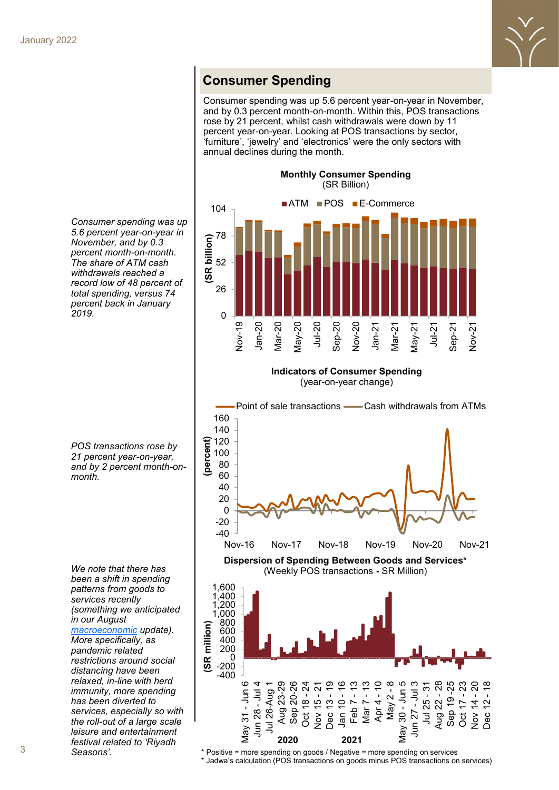

### **Consumer Spending**

Consumer spending was up 5.6 percent year-on-year in November, and by 0.3 percent month-on-month. Within this, POS transactions rose by 21 percent, whilst cash withdrawals were down by 11 percent year-on-year. Looking at POS transactions by sector, 'furniture', 'jewelry' and 'electronics' were the only sectors with annual declines during the month.



**Indicators of Consumer Spending** (year-on-year change)



*5.6 percent year-on-year in November, and by 0.3 percent month-on-month. The share of ATM cash withdrawals reached a record low of 48 percent of total spending, versus 74 percent back in January 2019.* 

*Consumer spending was up* 

*POS transactions rose by 21 percent year-on-year, and by 2 percent month-onmonth.* 

*been a shift in spending patterns from goods to services recently (something we anticipated in our August [macroeconomic](http://www.jadwa.com/en/download/macroeconomic-update-aug-2021/research-8-1-1-2-1-1-1-1-1-1-1-1-1-1-1-1) update). More specifically, as pandemic related restrictions around social distancing have been relaxed, in-line with herd immunity, more spending has been diverted to services, especially so with the roll-out of a large scale leisure and entertainment festival related to 'Riyadh Seasons'.* 

*We note that there has* 

\* Positive = more spending on goods / Negative = more spending on services \* Jadwa's calculation (POS transactions on goods minus POS transactions on services)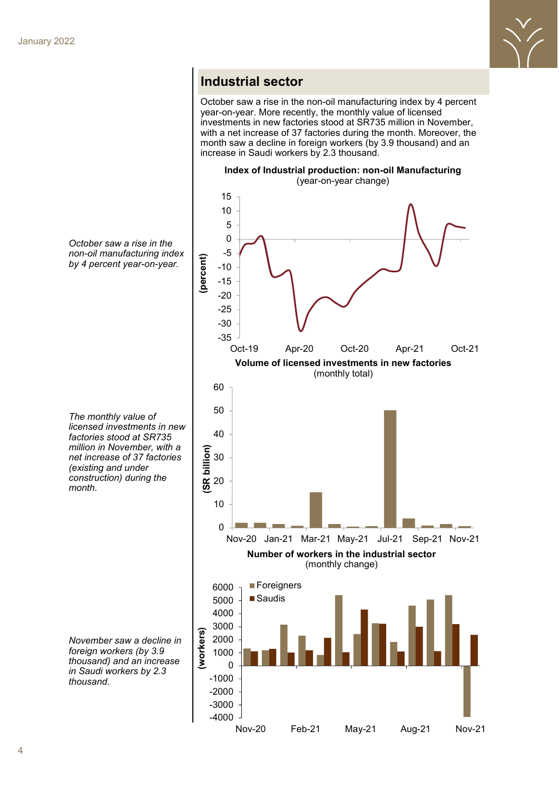

### **Industrial sector**

October saw a rise in the non-oil manufacturing index by 4 percent year-on-year. More recently, the monthly value of licensed investments in new factories stood at SR735 million in November, with a net increase of 37 factories during the month. Moreover, the month saw a decline in foreign workers (by 3.9 thousand) and an increase in Saudi workers by 2.3 thousand.

**Index of Industrial production: non-oil Manufacturing**

**Number of workers in the industrial sector** (monthly change) (year-on-year change) **Volume of licensed investments in new factories** (monthly total)  $\Omega$ 10 20 30 40 50 60 Nov-20 Jan-21 Mar-21 May-21 Jul-21 Sep-21 Nov-21 **(SR billion)** -35 -30 -25 -20 -15 -10 -5 0 5 10 15 Oct-19 Apr-20 Oct-20 Apr-21 Oct-21 **(percent)** -4000 -3000 -2000 -1000  $\Omega$ 1000 2000 3000 4000 5000 6000 **Foreigners** ■Saudis **(workers)**

Nov-20 Feb-21 May-21 Aug-21 Nov-21



*The monthly value of licensed investments in new factories stood at SR735 million in November, with a net increase of 37 factories (existing and under construction) during the month.*

*November saw a decline in foreign workers (by 3.9 thousand) and an increase in Saudi workers by 2.3 thousand.*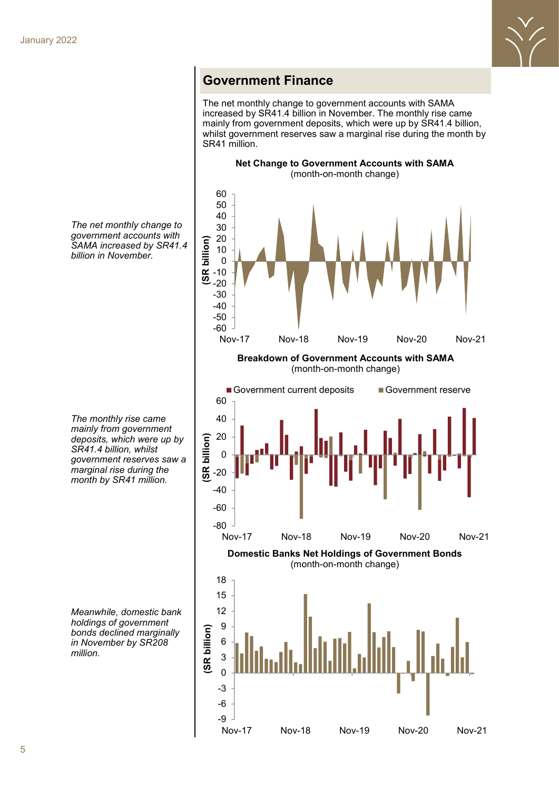

### **Government Finance**

The net monthly change to government accounts with SAMA increased by SR41.4 billion in November. The monthly rise came mainly from government deposits, which were up by SR41.4 billion, whilst government reserves saw a marginal rise during the month by SR41 million.





**Domestic Banks Net Holdings of Government Bonds** (month-on-month change)



*The net monthly change to government accounts with SAMA increased by SR41.4 billion in November.* 

*The monthly rise came mainly from government deposits, which were up by SR41.4 billion, whilst government reserves saw a marginal rise during the month by SR41 million.* 

*Meanwhile, domestic bank holdings of government bonds declined marginally in November by SR208 million.*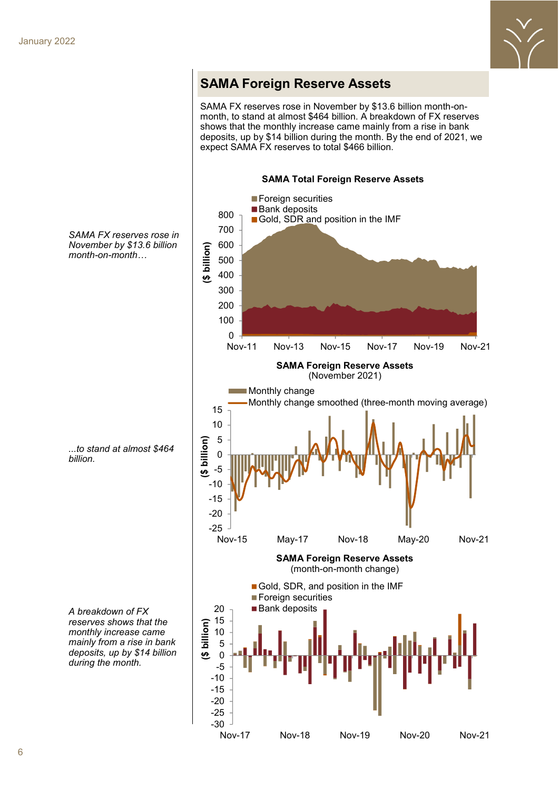

### **SAMA Foreign Reserve Assets**

SAMA FX reserves rose in November by \$13.6 billion month-onmonth, to stand at almost \$464 billion. A breakdown of FX reserves shows that the monthly increase came mainly from a rise in bank deposits, up by \$14 billion during the month. By the end of 2021, we expect SAMA FX reserves to total \$466 billion.



*SAMA FX reserves rose in November by \$13.6 billion month-on-month…*

*...to stand at almost \$464 billion.* 

*A breakdown of FX reserves shows that the monthly increase came mainly from a rise in bank deposits, up by \$14 billion during the month.*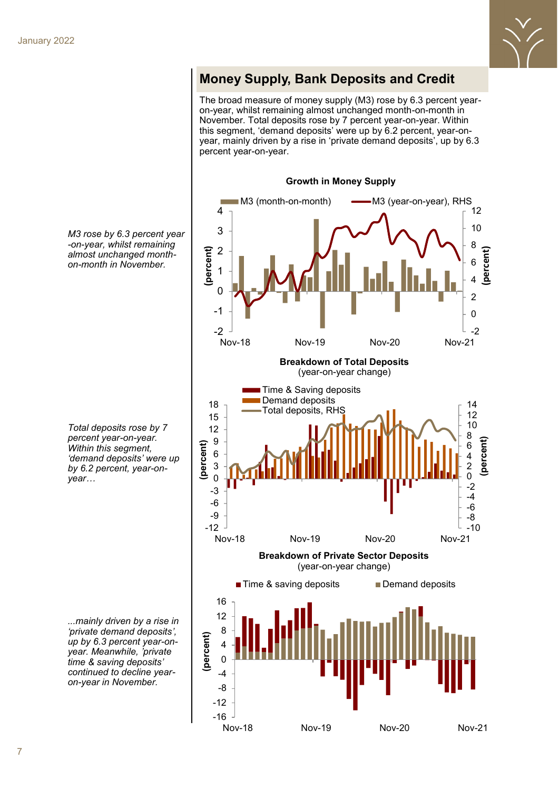

# **Money Supply, Bank Deposits and Credit**

The broad measure of money supply (M3) rose by 6.3 percent yearon-year, whilst remaining almost unchanged month-on-month in November. Total deposits rose by 7 percent year-on-year. Within this segment, 'demand deposits' were up by 6.2 percent, year-onyear, mainly driven by a rise in 'private demand deposits', up by 6.3 percent year-on-year.



*M3 rose by 6.3 percent year -on-year, whilst remaining almost unchanged monthon-month in November.*

*Total deposits rose by 7 percent year-on-year. Within this segment, 'demand deposits' were up by 6.2 percent, year-onyear…*

*...mainly driven by a rise in 'private demand deposits', up by 6.3 percent year-onyear. Meanwhile, 'private time & saving deposits' continued to decline yearon-year in November.*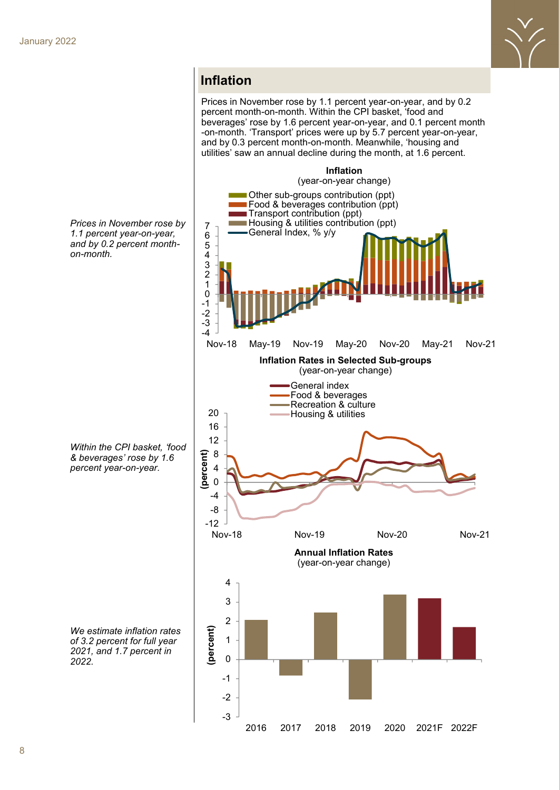

### **Inflation**

Prices in November rose by 1.1 percent year-on-year, and by 0.2 percent month-on-month. Within the CPI basket, 'food and beverages' rose by 1.6 percent year-on-year, and 0.1 percent month -on-month. 'Transport' prices were up by 5.7 percent year-on-year, and by 0.3 percent month-on-month. Meanwhile, 'housing and utilities' saw an annual decline during the month, at 1.6 percent.



*Prices in November rose by 1.1 percent year-on-year, and by 0.2 percent monthon-month.* 

*Within the CPI basket, 'food & beverages' rose by 1.6 percent year-on-year.*

*We estimate inflation rates of 3.2 percent for full year 2021, and 1.7 percent in 2022.*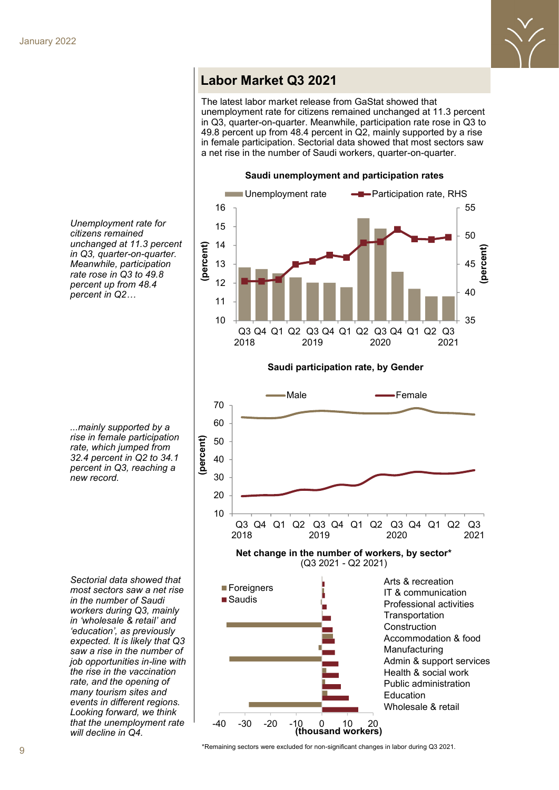

### **Labor Market Q3 2021**

The latest labor market release from GaStat showed that unemployment rate for citizens remained unchanged at 11.3 percent in Q3, quarter-on-quarter. Meanwhile, participation rate rose in Q3 to 49.8 percent up from 48.4 percent in Q2, mainly supported by a rise in female participation. Sectorial data showed that most sectors saw a net rise in the number of Saudi workers, quarter-on-quarter.



*Unemployment rate for citizens remained unchanged at 11.3 percent in Q3, quarter-on-quarter. Meanwhile, participation rate rose in Q3 to 49.8 percent up from 48.4 percent in Q2…*

**Saudi participation rate, by Gender**



*...mainly supported by a rise in female participation rate, which jumped from 32.4 percent in Q2 to 34.1 percent in Q3, reaching a new record.* 

*Sectorial data showed that most sectors saw a net rise in the number of Saudi workers during Q3, mainly in 'wholesale & retail' and 'education', as previously expected. It is likely that Q3 saw a rise in the number of job opportunities in-line with the rise in the vaccination rate, and the opening of many tourism sites and events in different regions. Looking forward, we think that the unemployment rate will decline in Q4.* 

\*Remaining sectors were excluded for non-significant changes in labor during Q3 2021.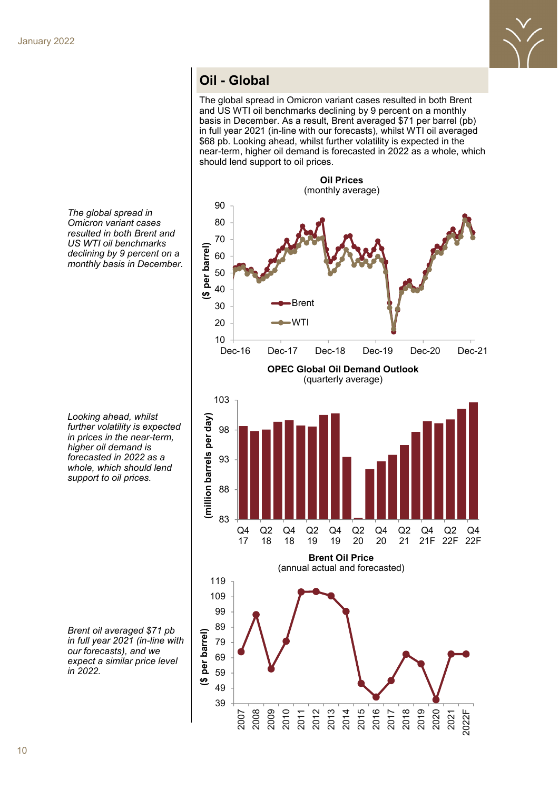

## **Oil - Global**

The global spread in Omicron variant cases resulted in both Brent and US WTI oil benchmarks declining by 9 percent on a monthly basis in December. As a result, Brent averaged \$71 per barrel (pb) in full year 2021 (in-line with our forecasts), whilst WTI oil averaged \$68 pb. Looking ahead, whilst further volatility is expected in the near-term, higher oil demand is forecasted in 2022 as a whole, which should lend support to oil prices.

**Oil Prices** (monthly average) 90 80 70 **(\$ per barrel)** \$ per barrel) 60 50 40 Brent 30 20 WTI 10 Dec-16 Dec-17 Dec-18 Dec-19 Dec-20 Dec-21 **OPEC Global Oil Demand Outlook** (quarterly average) 103 (million barrels per day) **(million barrels per day)** 98 93 88 83 Q4 Q2 Q4 Q2 Q4 Q2 Q4 Q2 Q4 Q2 Q4 17 18 18 19 19 20 20 21 21F 22F 22F **Brent Oil Price** (annual actual and forecasted) 119 109 99 89 per barrel) **(\$ per barrel)**79 69 59  $\overline{\mathbf{e}}$ 49 39 2012 2013 2014 2015 2016 2017 2018 2019 2020 2010 2008 2009 2011 2021 2022F 2007

*The global spread in Omicron variant cases resulted in both Brent and US WTI oil benchmarks declining by 9 percent on a monthly basis in December.* 

*Looking ahead, whilst further volatility is expected in prices in the near-term, higher oil demand is forecasted in 2022 as a whole, which should lend support to oil prices.*

*Brent oil averaged \$71 pb in full year 2021 (in-line with our forecasts), and we expect a similar price level in 2022.*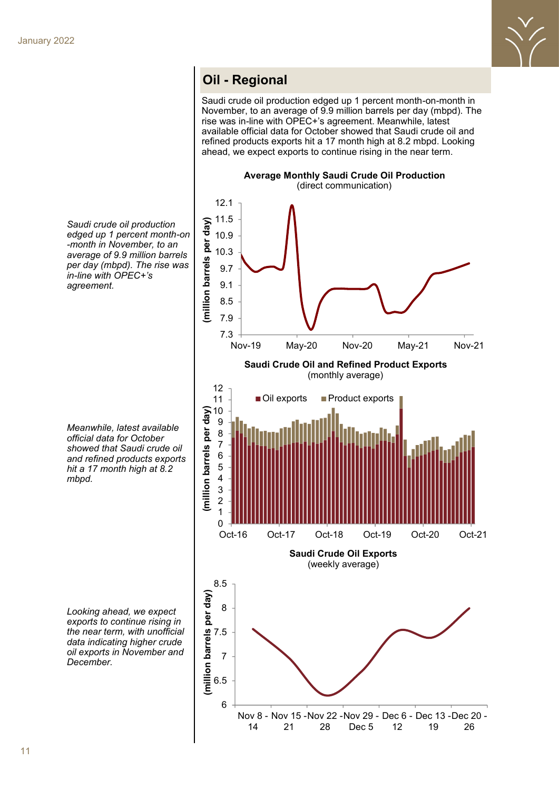

### **Oil Oil - Regional - Regional**

Saudi crude oil production edged up 1 percent month-on-month in November, to an average of 9.9 million barrels per day (mbpd). The rise was in-line with OPEC+'s agreement. Meanwhile, latest available official data for October showed that Saudi crude oil and refined products exports hit a 17 month high at 8.2 mbpd. Looking ahead, we expect exports to continue rising in the near term.

**Average Monthly Saudi Crude Oil Production**  (direct communication) 12.1



*Saudi crude oil production edged up 1 percent month-on -month in November, to an average of 9.9 million barrels per day (mbpd). The rise was in-line with OPEC+'s agreement.* 

*Meanwhile, latest available official data for October showed that Saudi crude oil and refined products exports hit a 17 month high at 8.2 mbpd.* 

*Looking ahead, we expect exports to continue rising in the near term, with unofficial data indicating higher crude oil exports in November and December.*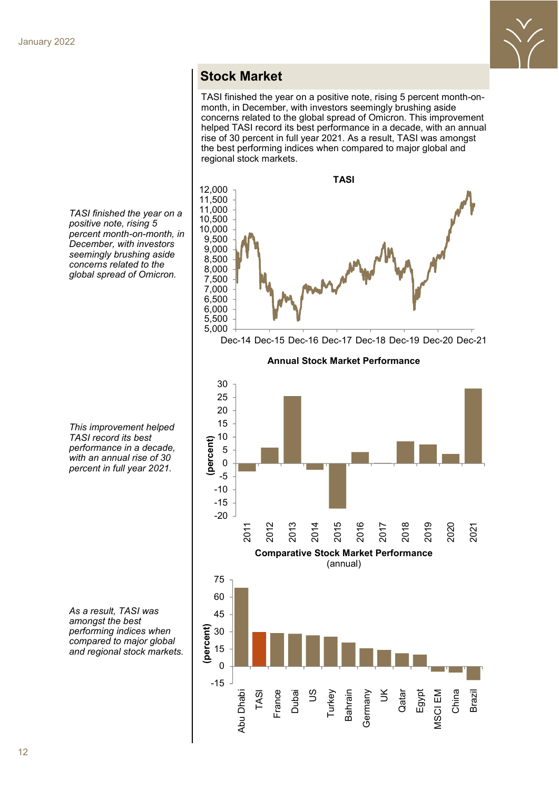

#### **Stock Market**

TASI finished the year on a positive note, rising 5 percent month-onmonth, in December, with investors seemingly brushing aside concerns related to the global spread of Omicron. This improvement helped TASI record its best performance in a decade, with an annual rise of 30 percent in full year 2021. As a result, TASI was amongst the best performing indices when compared to major global and regional stock markets.



Dec-14 Dec-15 Dec-16 Dec-17 Dec-18 Dec-19 Dec-20 Dec-21

**Annual Stock Market Performance** 



*TASI finished the year on a positive note, rising 5 percent month-on-month, in December, with investors seemingly brushing aside concerns related to the global spread of Omicron.* 

*This improvement helped TASI record its best performance in a decade, with an annual rise of 30 percent in full year 2021.* 

*As a result, TASI was amongst the best performing indices when compared to major global and regional stock markets.*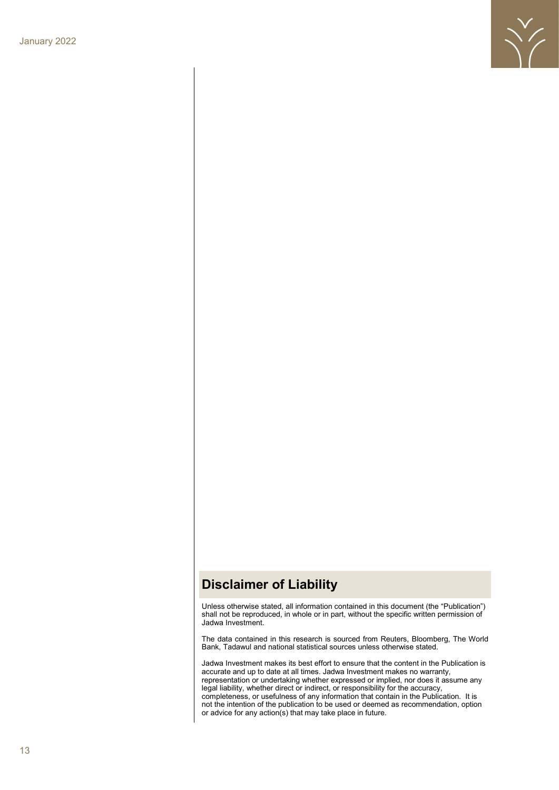

### **Disclaimer of Liability**

Unless otherwise stated, all information contained in this document (the "Publication") shall not be reproduced, in whole or in part, without the specific written permission of Jadwa Investment.

The data contained in this research is sourced from Reuters, Bloomberg, The World Bank, Tadawul and national statistical sources unless otherwise stated.

Jadwa Investment makes its best effort to ensure that the content in the Publication is accurate and up to date at all times. Jadwa Investment makes no warranty, representation or undertaking whether expressed or implied, nor does it assume any legal liability, whether direct or indirect, or responsibility for the accuracy, completeness, or usefulness of any information that contain in the Publication. It is not the intention of the publication to be used or deemed as recommendation, option or advice for any action(s) that may take place in future.